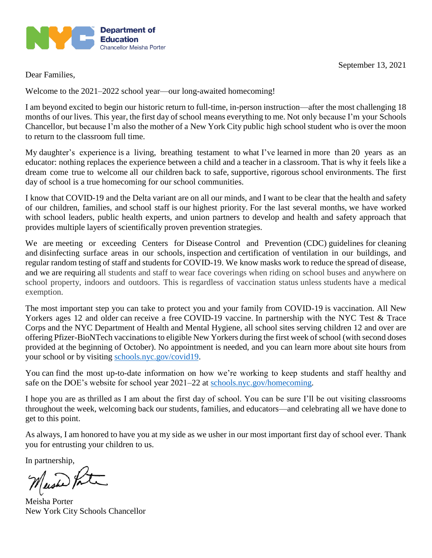

Dear Families,

Welcome to the 2021–2022 school year—our long-awaited homecoming!

I am beyond excited to begin our historic return to full-time, in-person instruction—after the most challenging 18 months of our lives. This year, the first day of school means everything to me. Not only because I'm your Schools Chancellor, but because I'm also the mother of a New York City public high school student who is over the moon to return to the classroom full time.

My daughter's experience is a living, breathing testament to what I've learned in more than 20 years as an educator: nothing replaces the experience between a child and a teacher in a classroom. That is why it feels like a dream come true to welcome all our children back to safe, supportive, rigorous school environments. The first day of school is a true homecoming for our school communities.

I know that COVID-19 and the Delta variant are on all our minds, and I want to be clear that the health and safety of our children, families, and school staff is our highest priority. For the last several months, we have worked with school leaders, public health experts, and union partners to develop and health and safety approach that provides multiple layers of scientifically proven prevention strategies.

We are meeting or exceeding Centers for Disease Control and Prevention (CDC) guidelines for cleaning and disinfecting surface areas in our schools, inspection and certification of ventilation in our buildings, and regular random testing of staff and students for COVID-19. We know masks work to reduce the spread of disease, and we are requiring all students and staff to wear face coverings when riding on school buses and anywhere on school property, indoors and outdoors. This is regardless of vaccination status unless students have a medical exemption.

The most important step you can take to protect you and your family from COVID-19 is vaccination. All New Yorkers ages 12 and older can receive a free COVID-19 vaccine. In partnership with the NYC Test & Trace Corps and the NYC Department of Health and Mental Hygiene, all school sites serving children 12 and over are offering Pfizer-BioNTech vaccinations to eligible New Yorkers during the first week of school (with second doses provided at the beginning of October). No appointment is needed, and you can learn more about site hours from your school or by visiting [schools.nyc.gov/covid19.](https://www.schools.nyc.gov/school-life/health-and-wellness/covid-information)

You can find the most up-to-date information on how we're working to keep students and staff healthy and safe on the DOE's website for school year 2021–22 at [schools.nyc.gov/homecoming.](https://www.schools.nyc.gov/school-year/school-year-2021-22)

I hope you are as thrilled as I am about the first day of school. You can be sure I'll be out visiting classrooms throughout the week, welcoming back our students, families, and educators—and celebrating all we have done to get to this point.

As always, I am honored to have you at my side as we usher in our most important first day of school ever. Thank you for entrusting your children to us.

In partnership,

Maished Porter

Meisha Porter New York City Schools Chancellor

September 13, 2021